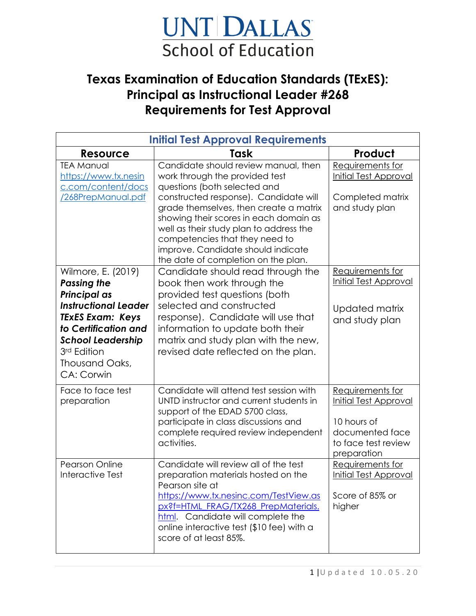## UNT DALLAS **School of Education**

## **Texas Examination of Education Standards (TExES): Principal as Instructional Leader #268 Requirements for Test Approval**

| <b>Initial Test Approval Requirements</b>                                                                                                                                                                                    |                                                                                                                                                                                                                                                                                                                                                                                               |                                                                                                                          |  |  |  |
|------------------------------------------------------------------------------------------------------------------------------------------------------------------------------------------------------------------------------|-----------------------------------------------------------------------------------------------------------------------------------------------------------------------------------------------------------------------------------------------------------------------------------------------------------------------------------------------------------------------------------------------|--------------------------------------------------------------------------------------------------------------------------|--|--|--|
| <b>Resource</b>                                                                                                                                                                                                              | Task                                                                                                                                                                                                                                                                                                                                                                                          | Product                                                                                                                  |  |  |  |
| <b>TEA Manual</b><br>https://www.tx.nesin<br>c.com/content/docs<br>/268PrepManual.pdf                                                                                                                                        | Candidate should review manual, then<br>work through the provided test<br>questions (both selected and<br>constructed response). Candidate will<br>grade themselves, then create a matrix<br>showing their scores in each domain as<br>well as their study plan to address the<br>competencies that they need to<br>improve. Candidate should indicate<br>the date of completion on the plan. | Requirements for<br>Initial Test Approval<br>Completed matrix<br>and study plan                                          |  |  |  |
| Wilmore, E. (2019)<br><b>Passing the</b><br><b>Principal as</b><br><b>Instructional Leader</b><br><b>TEXES Exam: Keys</b><br>to Certification and<br><b>School Leadership</b><br>3rd Edition<br>Thousand Oaks,<br>CA: Corwin | Candidate should read through the<br>book then work through the<br>provided test questions (both<br>selected and constructed<br>response). Candidate will use that<br>information to update both their<br>matrix and study plan with the new,<br>revised date reflected on the plan.                                                                                                          | Requirements for<br><b>Initial Test Approval</b><br>Updated matrix<br>and study plan                                     |  |  |  |
| Face to face test<br>preparation                                                                                                                                                                                             | Candidate will attend test session with<br>UNTD instructor and current students in<br>support of the EDAD 5700 class,<br>participate in class discussions and<br>complete required review independent<br>activities.                                                                                                                                                                          | Requirements for<br><b>Initial Test Approval</b><br>10 hours of<br>documented face<br>to face test review<br>preparation |  |  |  |
| <b>Pearson Online</b><br>Interactive Test                                                                                                                                                                                    | Candidate will review all of the test<br>preparation materials hosted on the<br>Pearson site at<br>https://www.tx.nesinc.com/TestView.as<br>px?f=HTML FRAG/TX268 PrepMaterials.<br>html. Candidate will complete the<br>online interactive test (\$10 fee) with a<br>score of at least 85%.                                                                                                   | Requirements for<br><b>Initial Test Approval</b><br>Score of 85% or<br>higher                                            |  |  |  |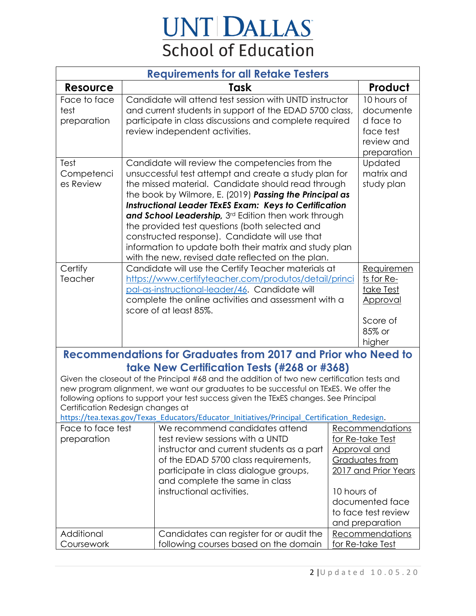## **UNT DALLAS**<br>School of Education

| <b>Requirements for all Retake Testers</b>                                                                                                                                                                                                                                                                                                                                                                                                                                                                                               |  |                                                                                                                                                                                                                                                                                                                                                                                                                                                                                                                                                                       |             |                                                                                                                                                            |  |
|------------------------------------------------------------------------------------------------------------------------------------------------------------------------------------------------------------------------------------------------------------------------------------------------------------------------------------------------------------------------------------------------------------------------------------------------------------------------------------------------------------------------------------------|--|-----------------------------------------------------------------------------------------------------------------------------------------------------------------------------------------------------------------------------------------------------------------------------------------------------------------------------------------------------------------------------------------------------------------------------------------------------------------------------------------------------------------------------------------------------------------------|-------------|------------------------------------------------------------------------------------------------------------------------------------------------------------|--|
| <b>Resource</b>                                                                                                                                                                                                                                                                                                                                                                                                                                                                                                                          |  | Task                                                                                                                                                                                                                                                                                                                                                                                                                                                                                                                                                                  |             | Product                                                                                                                                                    |  |
| Face to face<br>test<br>preparation                                                                                                                                                                                                                                                                                                                                                                                                                                                                                                      |  | Candidate will attend test session with UNTD instructor<br>and current students in support of the EDAD 5700 class,<br>participate in class discussions and complete required<br>review independent activities.                                                                                                                                                                                                                                                                                                                                                        |             | 10 hours of<br>documente<br>d face to<br>face test<br>review and<br>preparation                                                                            |  |
| Test<br>Competenci<br>es Review                                                                                                                                                                                                                                                                                                                                                                                                                                                                                                          |  | Candidate will review the competencies from the<br>unsuccessful test attempt and create a study plan for<br>the missed material. Candidate should read through<br>the book by Wilmore, E. (2019) Passing the Principal as<br><b>Instructional Leader TExES Exam: Keys to Certification</b><br>and School Leadership, 3rd Edition then work through<br>the provided test questions (both selected and<br>constructed response). Candidate will use that<br>information to update both their matrix and study plan<br>with the new, revised date reflected on the plan. |             | Updated<br>matrix and<br>study plan                                                                                                                        |  |
| Certify<br>Teacher                                                                                                                                                                                                                                                                                                                                                                                                                                                                                                                       |  | Candidate will use the Certify Teacher materials at<br>https://www.certifyteacher.com/produtos/detail/princi<br>pal-as-instructional-leader/46. Candidate will<br>complete the online activities and assessment with a<br>score of at least 85%.                                                                                                                                                                                                                                                                                                                      |             | Requiremen<br>ts for Re-<br>take Test<br>Approval<br>Score of<br>85% or<br>higher                                                                          |  |
| <b>Recommendations for Graduates from 2017 and Prior who Need to</b><br>take New Certification Tests (#268 or #368)<br>Given the closeout of the Principal #68 and the addition of two new certification tests and<br>new program alignment, we want our graduates to be successful on TExES. We offer the<br>following options to support your test success given the TExES changes. See Principal<br>Certification Redesign changes at<br>https://tea.texas.gov/Texas_Educators/Educator_Initiatives/Principal_Certification_Redesign. |  |                                                                                                                                                                                                                                                                                                                                                                                                                                                                                                                                                                       |             |                                                                                                                                                            |  |
| Face to face test<br>preparation                                                                                                                                                                                                                                                                                                                                                                                                                                                                                                         |  | We recommend candidates attend<br>test review sessions with a UNTD<br>instructor and current students as a part<br>of the EDAD 5700 class requirements,<br>participate in class dialogue groups,<br>and complete the same in class<br>instructional activities.                                                                                                                                                                                                                                                                                                       | 10 hours of | Recommendations<br>for Re-take Test<br>Approval and<br>Graduates from<br>2017 and Prior Years<br>documented face<br>to face test review<br>and preparation |  |
| Additional<br>Coursework                                                                                                                                                                                                                                                                                                                                                                                                                                                                                                                 |  | Candidates can register for or audit the<br>following courses based on the domain                                                                                                                                                                                                                                                                                                                                                                                                                                                                                     |             | <u>Recommendations</u><br>for Re-take Test                                                                                                                 |  |